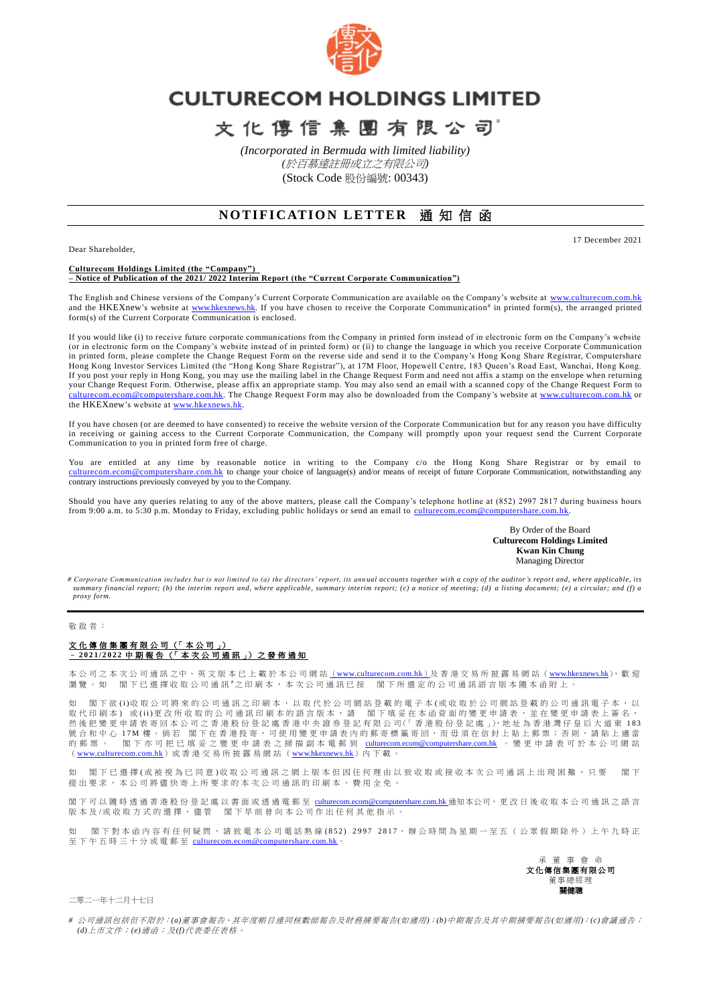

## **CULTURECOM HOLDINGS LIMITED**

文化傳信集團有限公司

*(Incorporated in Bermuda with limited liability) (*於百慕達註冊成立之有限公司*)* (Stock Code 股份編號: 00343)

## **NOTIFICATION LETTER 涌知信函**

Dear Shareholder,

17 December 2021

**Culturecom Holdings Limited (the "Company") – Notice of Publication of the 2021/ 2022 Interim Report (the "Current Corporate Communication")**

The English and Chinese versions of the Company's Current Corporate Communication are available on the Company's website at [www.culturecom.com.hk](http://www.culturecom.com.hk/) and the HKEXnew's website at [www.hkexnews.hk.](http://www.hkexnews.hk/) If you have chosen to receive the Corporate Communication<sup>#</sup> in printed form(s), the arranged printed form(s) of the Current Corporate Communication is enclosed.

If you would like (i) to receive future corporate communications from the Company in printed form instead of in electronic form on the Company's website (or in electronic form on the Company's website instead of in printed form) or (ii) to change the language in which you receive Corporate Communication in printed form, please complete the Change Request Form on the reverse side and send it to the Company's Hong Kong Share Registrar, Computershare Hong Kong Investor Services Limited (the "Hong Kong Share Registrar"), at 17M Floor, Hopewell Centre, 183 Queen's Road East, Wanchai, Hong Kong. If you post your reply in Hong Kong, you may use the mailing label in the Change Request Form and need not affix a stamp on the envelope when returning your Change Request Form. Otherwise, please affix an appropriate stamp. You may also send an email with a scanned copy of the Change Request Form to [culturecom.ecom@computershare.com.hk.](mailto:culturecom.ecom@computershare.com.hk) The Change Request Form may also be downloaded from the Company's website at [www.culturecom.com.hk](http://www.culturecom.com.hk/) or the HKEXnew's website at [www.hkexnews.hk.](http://www.hkexnews.hk/)

If you have chosen (or are deemed to have consented) to receive the website version of the Corporate Communication but for any reason you have difficulty in receiving or gaining access to the Current Corporate Communication, the Company will promptly upon your request send the Current Corporate Communication to you in printed form free of charge.

You are entitled at any time by reasonable notice in writing to the Company c/o the Hong Kong Share Registrar or by email to [culturecom.ecom@computershare.com.hk](mailto:culturecom.ecom@computershare.com.hk) to change your choice of language(s) and/or means of receipt of future Corporate Communication, notwithstanding any contrary instructions previously conveyed by you to the Company.

Should you have any queries relating to any of the above matters, please call the Company's telephone hotline at (852) 2997 2817 during business hours from 9:00 a.m. to 5:30 p.m. Monday to Friday, excluding public holidays or send an email to culturecom.ecom@com

> By Order of the Board **Culturecom Holdings Limited Kwan Kin Chung** Managing Director

*# Corporate Communication includes but is not limited to (a) the directors' report, its ann ual accounts together with a copy of the auditor's report and, where applicable, its summary financial report; (b) the interim report and, where applicable, summary interim report; (c) a notice of meeting; (d) a listing document; (e) a circular; and (f) a proxy form.*

## 勒 的 老 :

## 文 化 傳 信 集 團 有 限 公 司 (「 本 公 司 」) – **202 1 / 2 0 2 2** 中 期 報 告 (「 本 次 公 司 通 訊 」) 之 發 佈 通 知

本 公 司 之 本 次 公 司 通 訊 之 中 、 英 文 版 本 已 上 載 於 本 公 司 網 站 <u>([www.culturecom.com.hk](http://www.culturecom.com.hk/))</u>及 香 港 交 易 所 披 露 易 網 站 ([www.hkexnews.hk](http://www.hkexnews.hk/)), 歡 迎 瀏覽。如 閣下已選擇收取公司通訊"之印刷本,本次公司通訊已按 閣下所選定的公司通訊語言版本隨本函附上。

閣下欲(i)收取公司將來的公司通訊之印刷本,以取代於公司網站登載的電子本(或收取於公司網站登載的公司通訊電子本,以 取代印刷本)或(ii)更改所收取的公司通訊印刷本的語言版本,請 閣下填妥在本函背面的變更申請表,並在變更申請表上簽名, 然後把變更申請表寄回本公司之香港股份登記處香港中央證券登記有限公司(「香港股份登記處」),地址為香港灣仔皇后大道東 183 號合和中心 17M 樓。倘若 閣下在香港投寄,可使用變更申請表內的郵寄標籤寄回,而毋須在信封上貼上郵票;否則,請貼上適當 的 郵 票 。 閣 下 亦 可 把 已 填 妥 之 變 更 申 請 表 之 掃 描 副 本 電 郵 到 [culturecom.ecom@computershare.com.hk](mailto:culturecom.ecom@computershare.com.hk) 。 變 更 申 請 表 可 於 本 公 司 網 站 ([www.culturecom.com.hk](http://www.culturecom.com.hk/))或香港交易所披露易網站([www.hkexnews.hk](http://www.hkexnews.hk/))內下載。

如 閣下已選擇(或被視為已同意)收取公司通訊之網上版本但因任何理由以致收取或接收本次公司通訊上出現困難,只要 閣下 提出要求,本公司將儘快寄上所要求的本次公司通訊的印刷本,費用全免,

閣下可以 隨時透過香港股份登記處以書面或透過電郵至 [culturecom.ecom@computershare.com.hk](mailto:culturecom.ecom@computershare.com.hk) 通知本公司, 更改日後收取本公司通訊之語言 **临了与《应动运营者危极份金融》《首曲《登运电光主 <u>【【【【】【】【】】</u>】**<br>版本及/或收取方式的選擇,儘管 | 閣下早前曾向本公司作出任何其他指示。

如 閣下對 本 函 內 容 有 任 何 疑 問 , 請 致 電 本 公 司 電 話 熱 線 ( 8 5 2 ) 2 9 9 7 2 8 1 7 , 辦 公 時 間 為 星 期 一 至 五 ( 公 眾 假 期 除 外 ) 上 午 九時正 至下午五時三十分或電郵至 [culturecom.ecom@computershare.com.hk](mailto:culturecom.ecom@computershare.com.hk)。

> 承 董 事 會 命 文化傳信集團有限公司 董事總經理 關健膽

二零二一年十二月十七日

*#* 公司通訊包括但不限於:*(a)*董事會報告、其年度帳目連同核數師報告及財務摘要報告*(*如適用*)*;*(b)*中期報告及其中期摘要報告*(*如適用*)*;*(c)*會議通告; *(d)*上市文件;*(e)*通函;及*(f)*代表委任表格。